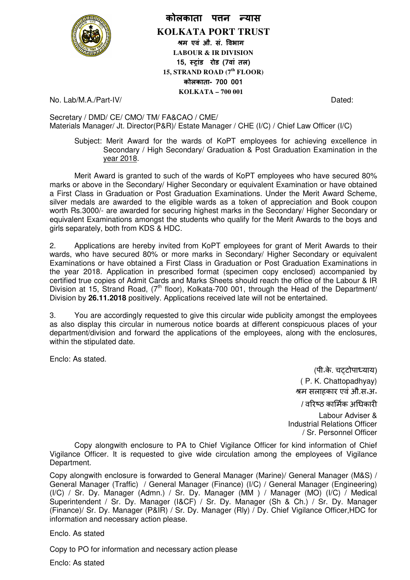

## **कोलकाता पन यास**

**KOLKATA PORT TRUST म एवं औ. सं. वभाग LABOUR & IR DIVISION**  15, स्टांड रोड (7वां तल) **15, STRAND ROAD (7th FLOOR) कोलकाता- 700 001 KOLKATA – 700 001** 

No. Lab/M.A./Part-IV/

No. Lab/M.A./Part-IV/<br>Secretary / DMD/ CE/ CMO/ TM/ FA&CAO / CME/ Materials Manager/ Jt. Director(P&R)/ Estate Manager / CHE (I/C) / Chief Law Officer (I/C)

Subject: Merit Award for the wards of KoPT employees for achieving excellence in Secondary / High Secondary/ Graduation & Post Graduation Examination in the year 2018.

Merit Award is granted to such of the wards of KoPT employees who have secured 80% marks or above in the Secondary/ Higher Secondary or equivalent Examination or have obtained a First Class in Graduation or Post Graduation Examinations. Under the Merit Award Scheme, a First Class in Graduation or Post Graduation Examinations. Under the Merit Award Scheme,<br>silver medals are awarded to the eligible wards as a token of appreciation and Book coupon worth Rs.3000/- are awarded for securing highest marks in the Secondary/ Higher Secondary or equivalent Examinations amongst the students who qualify for the Merit Awards to the boys and girls separately, both from KDS & HDC. gible wards as a token of appreciation and Book coupon<br>ring highest marks in the Secondary/ Higher Secondary or<br>students who qualify for the Merit Awards to the boys and<br> $\Sigma$ .<br>I from KoPT employees for grant of Merit Award

2. Applications are hereby invited from KoPT employees for grant of Merit Awards to their wards, who have secured 80% or more marks in Secondary/ Higher Secondary or equivalent Examinations or have obtained a First Class in Graduation or Post Graduation Examinations in the year 2018. Application in prescribed format (specimen copy enclosed) accompanied by certified true copies of Admit Cards and Marks Sheets should reach the office of the Labour & IR certified true copies of Admit Cards and Marks Sheets should reach the office of the Labour & IR<br>Division at 15, Strand Road, (7<sup>th</sup> floor), Kolkata-700 001, through the Head of the Department/ Division by 26.11.2018 positively. Applications received late will not be entertained. LabMA/Part-IV/<br>
LabMA/Part-IV<br>
retay / DMD/ CE/ CMO/ TM/ FA&CAO / CME/<br>
retails Manager / U. Director(P&R)/ Estate Manager / CHE (I/C) / Chief Law Officer (I/C)<br>
Subject: Marit Award for the wards of KoPT employees for ach

3. You are accordingly requested to give this circular wide publicity amongst the employees as also display this circular in numerous notice boards at different conspicuous places of your department/division and forward the applications of the employees, along with the enclosures, within the stipulated date.

Enclo: As stated.

-म सलाहकार एवंऔ.स॰अ॰ (पी॰के. च टोपायाय) ( P. K. Chattopadhyay) / वरिष्ठ कार्मिक अधिकारी Labour Adviser &

Industrial Relations Officer / Sr. Personnel Officer

Copy alongwith enclosure to PA to Chief Vigilance Officer for kind information of Chief Vigilance Officer. It is requested to give wide circulation among the employees of Vigilance Department.

Copy alongwith enclosure is forwarded to General Manager (Marine)/ General Manager (M&S) / General Manager (Traffic) / General Manager (Finance) (I/C) / General Manager (Engineering) (I/C) / Sr. Dy. Manager (Admn.) / Sr. Dy. Manager (MM ) / Manager (MO) (I/C) / Medical Superintendent / Sr. Dy. Manager (I&CF) / Sr. Dy. Manager (Sh & Ch.) / Sr. Dy. Manager (Finance)/ Sr. Dy. Manager (P&IR) / Sr. Dy. Manager (Rly) / Dy. Chief Vigilance Officer,HDC for information and necessary action please.

Enclo. As stated

Copy to PO for information and necessary action please

Enclo: As stated